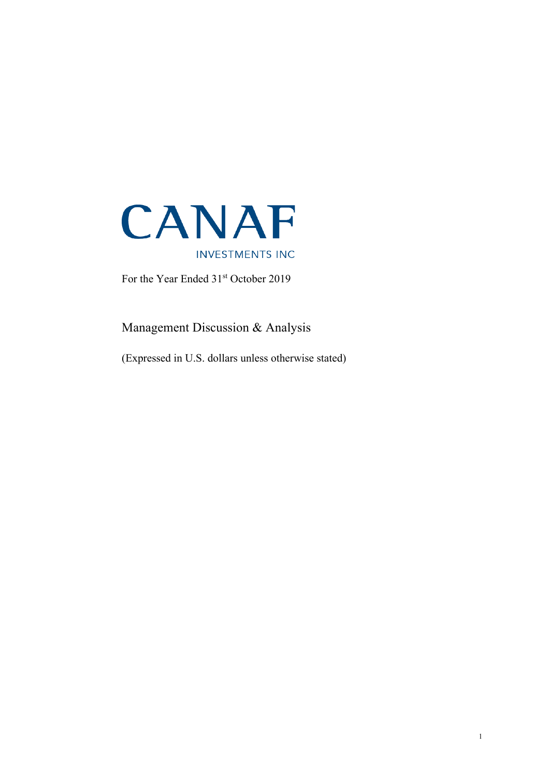

For the Year Ended 31<sup>st</sup> October 2019

Management Discussion & Analysis

(Expressed in U.S. dollars unless otherwise stated)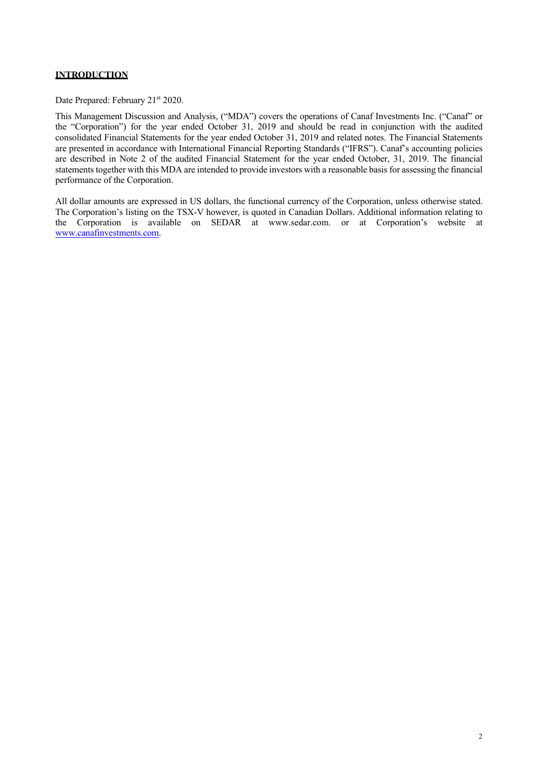## **INTRODUCTION**

Date Prepared: February 21st 2020.

This Management Discussion and Analysis, ("MDA") covers the operations of Canaf Investments Inc. ("Canaf" or the "Corporation") for the year ended October 31, 2019 and should be read in conjunction with the audited consolidated Financial Statements for the year ended October 31, 2019 and related notes. The Financial Statements are presented in accordance with International Financial Reporting Standards ("IFRS"). Canaf's accounting policies are described in Note 2 of the audited Financial Statement for the year ended October, 31, 2019. The financial statements together with this MDA are intended to provide investors with a reasonable basis for assessing the financial performance of the Corporation.

All dollar amounts are expressed in US dollars, the functional currency of the Corporation, unless otherwise stated. The Corporation's listing on the TSX-V however, is quoted in Canadian Dollars. Additional information relating to the Corporation is available on SEDAR at www.sedar.com. or at Corporation's website at www.canafinvestments.com.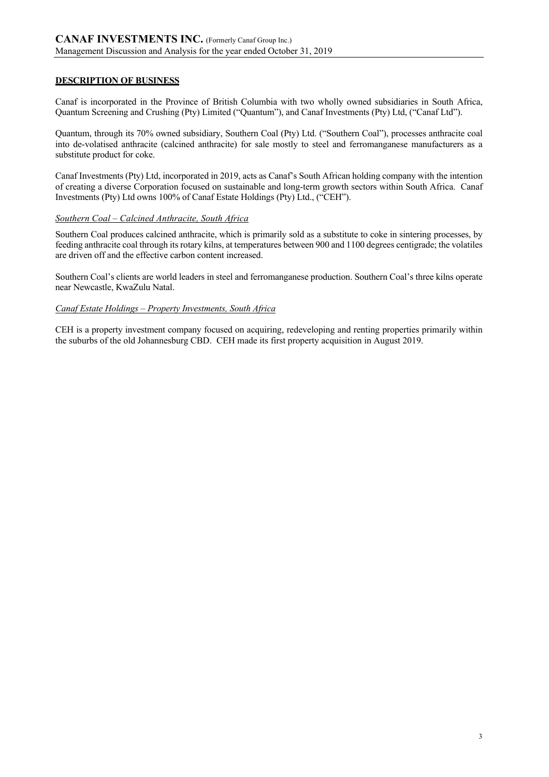## **DESCRIPTION OF BUSINESS**

Canaf is incorporated in the Province of British Columbia with two wholly owned subsidiaries in South Africa, Quantum Screening and Crushing (Pty) Limited ("Quantum"), and Canaf Investments (Pty) Ltd, ("Canaf Ltd").

Quantum, through its 70% owned subsidiary, Southern Coal (Pty) Ltd. ("Southern Coal"), processes anthracite coal into de-volatised anthracite (calcined anthracite) for sale mostly to steel and ferromanganese manufacturers as a substitute product for coke.

Canaf Investments (Pty) Ltd, incorporated in 2019, acts as Canaf's South African holding company with the intention of creating a diverse Corporation focused on sustainable and long-term growth sectors within South Africa. Canaf Investments (Pty) Ltd owns 100% of Canaf Estate Holdings (Pty) Ltd., ("CEH").

#### *Southern Coal – Calcined Anthracite, South Africa*

Southern Coal produces calcined anthracite, which is primarily sold as a substitute to coke in sintering processes, by feeding anthracite coal through its rotary kilns, at temperatures between 900 and 1100 degrees centigrade; the volatiles are driven off and the effective carbon content increased.

Southern Coal's clients are world leaders in steel and ferromanganese production. Southern Coal's three kilns operate near Newcastle, KwaZulu Natal.

#### *Canaf Estate Holdings – Property Investments, South Africa*

CEH is a property investment company focused on acquiring, redeveloping and renting properties primarily within the suburbs of the old Johannesburg CBD. CEH made its first property acquisition in August 2019.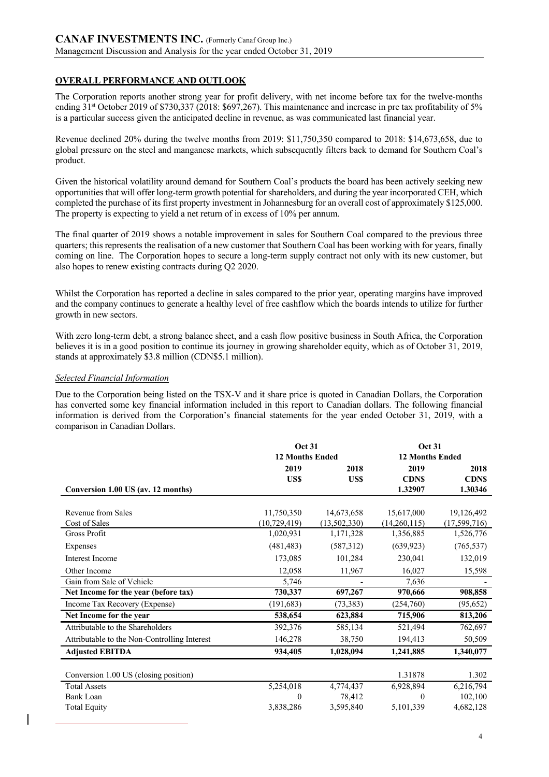# **OVERALL PERFORMANCE AND OUTLOOK**

The Corporation reports another strong year for profit delivery, with net income before tax for the twelve-months ending 31<sup>st</sup> October 2019 of \$730,337 (2018: \$697,267). This maintenance and increase in pre tax profitability of 5% is a particular success given the anticipated decline in revenue, as was communicated last financial year.

Revenue declined 20% during the twelve months from 2019: \$11,750,350 compared to 2018: \$14,673,658, due to global pressure on the steel and manganese markets, which subsequently filters back to demand for Southern Coal's product.

Given the historical volatility around demand for Southern Coal's products the board has been actively seeking new opportunities that will offer long-term growth potential for shareholders, and during the year incorporated CEH, which completed the purchase of its first property investment in Johannesburg for an overall cost of approximately \$125,000. The property is expecting to yield a net return of in excess of 10% per annum.

The final quarter of 2019 shows a notable improvement in sales for Southern Coal compared to the previous three quarters; this represents the realisation of a new customer that Southern Coal has been working with for years, finally coming on line. The Corporation hopes to secure a long-term supply contract not only with its new customer, but also hopes to renew existing contracts during Q2 2020.

Whilst the Corporation has reported a decline in sales compared to the prior year, operating margins have improved and the company continues to generate a healthy level of free cashflow which the boards intends to utilize for further growth in new sectors.

With zero long-term debt, a strong balance sheet, and a cash flow positive business in South Africa, the Corporation believes it is in a good position to continue its journey in growing shareholder equity, which as of October 31, 2019, stands at approximately \$3.8 million (CDN\$5.1 million).

### *Selected Financial Information*

Due to the Corporation being listed on the TSX-V and it share price is quoted in Canadian Dollars, the Corporation has converted some key financial information included in this report to Canadian dollars. The following financial information is derived from the Corporation's financial statements for the year ended October 31, 2019, with a comparison in Canadian Dollars.

|                                              | <b>Oct 31</b><br><b>12 Months Ended</b> |                            | <b>Oct 31</b><br><b>12 Months Ended</b> |                                |
|----------------------------------------------|-----------------------------------------|----------------------------|-----------------------------------------|--------------------------------|
| Conversion 1.00 US (av. 12 months)           | 2019<br><b>USS</b>                      | 2018<br>US\$               | 2019<br><b>CDNS</b><br>1.32907          | 2018<br><b>CDNS</b><br>1.30346 |
|                                              |                                         |                            |                                         |                                |
| Revenue from Sales<br>Cost of Sales          | 11,750,350<br>(10, 729, 419)            | 14,673,658<br>(13,502,330) | 15,617,000<br>(14,260,115)              | 19,126,492<br>(17,599,716)     |
| <b>Gross Profit</b>                          | 1,020,931                               | 1,171,328                  | 1,356,885                               | 1,526,776                      |
| Expenses                                     | (481, 483)                              | (587,312)                  | (639, 923)                              | (765, 537)                     |
| Interest Income                              | 173,085                                 | 101,284                    | 230,041                                 | 132,019                        |
| Other Income                                 | 12,058                                  | 11,967                     | 16,027                                  | 15,598                         |
| Gain from Sale of Vehicle                    | 5,746                                   |                            | 7.636                                   |                                |
| Net Income for the year (before tax)         | 730,337                                 | 697,267                    | 970,666                                 | 908,858                        |
| Income Tax Recovery (Expense)                | (191, 683)                              | (73, 383)                  | (254,760)                               | (95, 652)                      |
| Net Income for the year                      | 538,654                                 | 623,884                    | 715,906                                 | 813,206                        |
| Attributable to the Shareholders             | 392,376                                 | 585,134                    | 521,494                                 | 762,697                        |
| Attributable to the Non-Controlling Interest | 146,278                                 | 38,750                     | 194,413                                 | 50,509                         |
| <b>Adjusted EBITDA</b>                       | 934,405                                 | 1,028,094                  | 1,241,885                               | 1,340,077                      |
|                                              |                                         |                            |                                         |                                |
| Conversion 1.00 US (closing position)        |                                         |                            | 1.31878                                 | 1.302                          |
| <b>Total Assets</b>                          | 5,254,018                               | 4,774,437                  | 6,928,894                               | 6,216,794                      |
| <b>Bank Loan</b>                             | $\boldsymbol{0}$                        | 78,412                     | $\theta$                                | 102,100                        |
| <b>Total Equity</b>                          | 3,838,286                               | 3,595,840                  | 5,101,339                               | 4,682,128                      |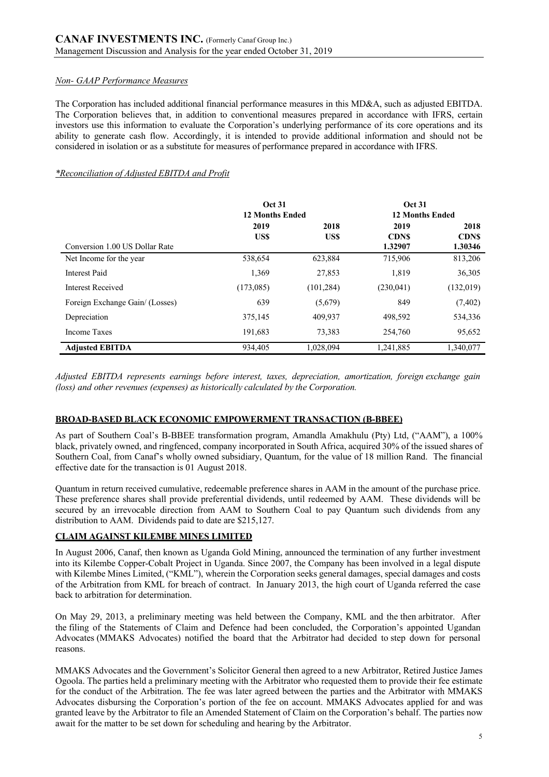## *Non- GAAP Performance Measures*

The Corporation has included additional financial performance measures in this MD&A, such as adjusted EBITDA. The Corporation believes that, in addition to conventional measures prepared in accordance with IFRS, certain investors use this information to evaluate the Corporation's underlying performance of its core operations and its ability to generate cash flow. Accordingly, it is intended to provide additional information and should not be considered in isolation or as a substitute for measures of performance prepared in accordance with IFRS.

### *\*Reconciliation of Adjusted EBITDA and Profit*

|                                 |                        | <b>Oct 31</b> |                     | <b>Oct 31</b>          |
|---------------------------------|------------------------|---------------|---------------------|------------------------|
|                                 | <b>12 Months Ended</b> |               |                     | <b>12 Months Ended</b> |
|                                 | 2019<br>US\$           | 2018<br>US\$  | 2019<br><b>CDNS</b> | 2018<br><b>CDNS</b>    |
| Conversion 1.00 US Dollar Rate  |                        |               | 1.32907             | 1.30346                |
| Net Income for the year         | 538,654                | 623,884       | 715,906             | 813,206                |
| Interest Paid                   | 1,369                  | 27,853        | 1,819               | 36,305                 |
| <b>Interest Received</b>        | (173,085)              | (101, 284)    | (230,041)           | (132,019)              |
| Foreign Exchange Gain/ (Losses) | 639                    | (5,679)       | 849                 | (7,402)                |
| Depreciation                    | 375,145                | 409,937       | 498,592             | 534,336                |
| Income Taxes                    | 191,683                | 73.383        | 254,760             | 95,652                 |
| <b>Adjusted EBITDA</b>          | 934,405                | 1,028,094     | 1,241,885           | 1,340,077              |

*Adjusted EBITDA represents earnings before interest, taxes, depreciation, amortization, foreign exchange gain (loss) and other revenues (expenses) as historically calculated by the Corporation.*

## **BROAD-BASED BLACK ECONOMIC EMPOWERMENT TRANSACTION (B-BBEE)**

As part of Southern Coal's B-BBEE transformation program, Amandla Amakhulu (Pty) Ltd, ("AAM"), a 100% black, privately owned, and ringfenced, company incorporated in South Africa, acquired 30% of the issued shares of Southern Coal, from Canaf's wholly owned subsidiary, Quantum, for the value of 18 million Rand. The financial effective date for the transaction is 01 August 2018.

Quantum in return received cumulative, redeemable preference shares in AAM in the amount of the purchase price. These preference shares shall provide preferential dividends, until redeemed by AAM. These dividends will be secured by an irrevocable direction from AAM to Southern Coal to pay Quantum such dividends from any distribution to AAM. Dividends paid to date are \$215,127.

## **CLAIM AGAINST KILEMBE MINES LIMITED**

In August 2006, Canaf, then known as Uganda Gold Mining, announced the termination of any further investment into its Kilembe Copper-Cobalt Project in Uganda. Since 2007, the Company has been involved in a legal dispute with Kilembe Mines Limited, ("KML"), wherein the Corporation seeks general damages, special damages and costs of the Arbitration from KML for breach of contract. In January 2013, the high court of Uganda referred the case back to arbitration for determination.

On May 29, 2013, a preliminary meeting was held between the Company, KML and the then arbitrator. After the filing of the Statements of Claim and Defence had been concluded, the Corporation's appointed Ugandan Advocates (MMAKS Advocates) notified the board that the Arbitrator had decided to step down for personal reasons.

MMAKS Advocates and the Government's Solicitor General then agreed to a new Arbitrator, Retired Justice James Ogoola. The parties held a preliminary meeting with the Arbitrator who requested them to provide their fee estimate for the conduct of the Arbitration. The fee was later agreed between the parties and the Arbitrator with MMAKS Advocates disbursing the Corporation's portion of the fee on account. MMAKS Advocates applied for and was granted leave by the Arbitrator to file an Amended Statement of Claim on the Corporation's behalf. The parties now await for the matter to be set down for scheduling and hearing by the Arbitrator.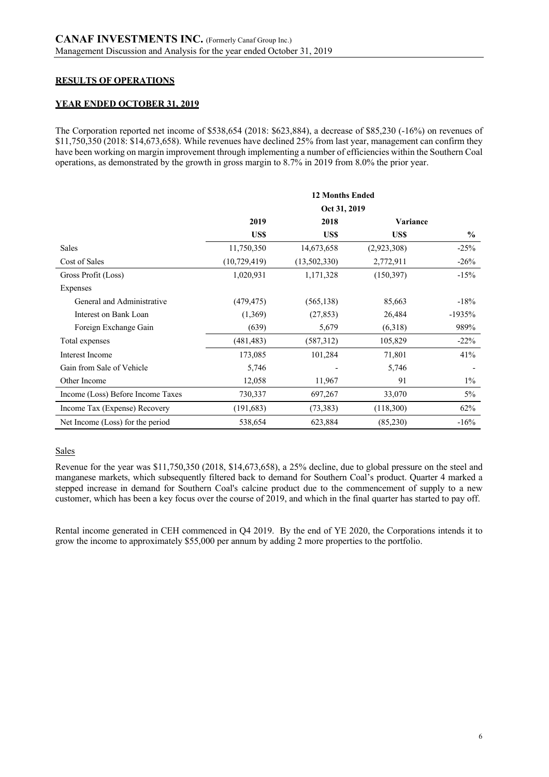## **RESULTS OF OPERATIONS**

## **YEAR ENDED OCTOBER 31, 2019**

The Corporation reported net income of \$538,654 (2018: \$623,884), a decrease of \$85,230 (-16%) on revenues of \$11,750,350 (2018: \$14,673,658). While revenues have declined 25% from last year, management can confirm they have been working on margin improvement through implementing a number of efficiencies within the Southern Coal operations, as demonstrated by the growth in gross margin to 8.7% in 2019 from 8.0% the prior year.

|                                   | <b>12 Months Ended</b> |              |                 |               |  |
|-----------------------------------|------------------------|--------------|-----------------|---------------|--|
|                                   | Oct 31, 2019           |              |                 |               |  |
|                                   | 2019                   | 2018         | <b>Variance</b> |               |  |
|                                   | <b>USS</b>             | US\$         | US\$            | $\frac{0}{0}$ |  |
| Sales                             | 11,750,350             | 14,673,658   | (2,923,308)     | $-25%$        |  |
| Cost of Sales                     | (10, 729, 419)         | (13,502,330) | 2,772,911       | $-26%$        |  |
| Gross Profit (Loss)               | 1,020,931              | 1,171,328    | (150, 397)      | $-15%$        |  |
| Expenses                          |                        |              |                 |               |  |
| General and Administrative        | (479, 475)             | (565, 138)   | 85,663          | $-18%$        |  |
| Interest on Bank Loan             | (1,369)                | (27, 853)    | 26,484          | $-1935%$      |  |
| Foreign Exchange Gain             | (639)                  | 5,679        | (6,318)         | 989%          |  |
| Total expenses                    | (481, 483)             | (587,312)    | 105,829         | $-22\%$       |  |
| Interest Income                   | 173,085                | 101,284      | 71,801          | 41%           |  |
| Gain from Sale of Vehicle         | 5,746                  |              | 5,746           |               |  |
| Other Income                      | 12,058                 | 11,967       | 91              | $1\%$         |  |
| Income (Loss) Before Income Taxes | 730,337                | 697,267      | 33,070          | $5\%$         |  |
| Income Tax (Expense) Recovery     | (191, 683)             | (73, 383)    | (118,300)       | 62%           |  |
| Net Income (Loss) for the period  | 538,654                | 623,884      | (85,230)        | $-16%$        |  |

# Sales

Revenue for the year was \$11,750,350 (2018, \$14,673,658), a 25% decline, due to global pressure on the steel and manganese markets, which subsequently filtered back to demand for Southern Coal's product. Quarter 4 marked a stepped increase in demand for Southern Coal's calcine product due to the commencement of supply to a new customer, which has been a key focus over the course of 2019, and which in the final quarter has started to pay off.

Rental income generated in CEH commenced in Q4 2019. By the end of YE 2020, the Corporations intends it to grow the income to approximately \$55,000 per annum by adding 2 more properties to the portfolio.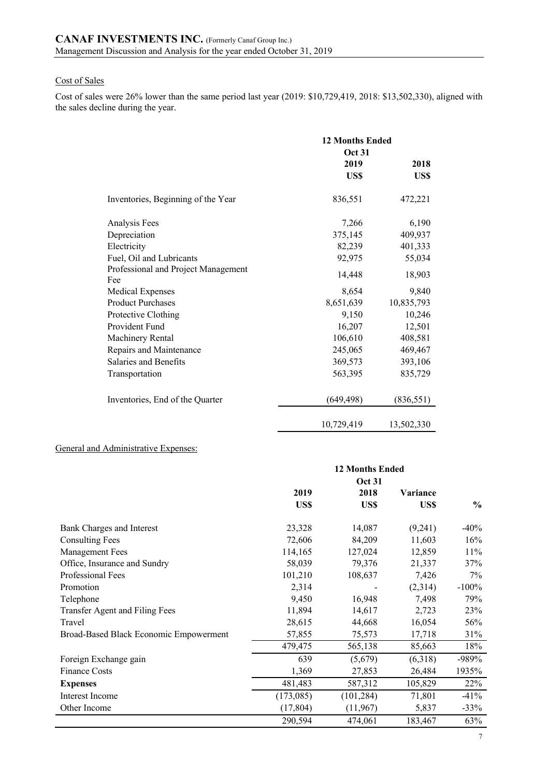# Cost of Sales

Cost of sales were 26% lower than the same period last year (2019: \$10,729,419, 2018: \$13,502,330), aligned with the sales decline during the year.

|                                            | <b>12 Months Ended</b><br><b>Oct 31</b> |            |
|--------------------------------------------|-----------------------------------------|------------|
|                                            | 2019                                    | 2018       |
|                                            | US\$                                    | US\$       |
| Inventories, Beginning of the Year         | 836,551                                 | 472,221    |
| Analysis Fees                              | 7,266                                   | 6,190      |
| Depreciation                               | 375,145                                 | 409,937    |
| Electricity                                | 82,239                                  | 401,333    |
| Fuel, Oil and Lubricants                   | 92,975                                  | 55,034     |
| Professional and Project Management<br>Fee | 14,448                                  | 18,903     |
| <b>Medical Expenses</b>                    | 8,654                                   | 9,840      |
| <b>Product Purchases</b>                   | 8,651,639                               | 10,835,793 |
| Protective Clothing                        | 9,150                                   | 10,246     |
| Provident Fund                             | 16,207                                  | 12,501     |
| Machinery Rental                           | 106,610                                 | 408,581    |
| Repairs and Maintenance                    | 245,065                                 | 469,467    |
| Salaries and Benefits                      | 369,573                                 | 393,106    |
| Transportation                             | 563,395                                 | 835,729    |
| Inventories, End of the Quarter            | (649, 498)                              | (836, 551) |
|                                            | 10,729,419                              | 13,502,330 |

### General and Administrative Expenses:

|                                        |           | <b>12 Months Ended</b> |          |               |
|----------------------------------------|-----------|------------------------|----------|---------------|
|                                        |           | <b>Oct 31</b>          |          |               |
|                                        | 2019      | 2018                   | Variance |               |
|                                        | US\$      | US\$                   | US\$     | $\frac{6}{9}$ |
| Bank Charges and Interest              | 23,328    | 14,087                 | (9,241)  | $-40%$        |
| <b>Consulting Fees</b>                 | 72,606    | 84,209                 | 11,603   | 16%           |
| Management Fees                        | 114,165   | 127,024                | 12,859   | 11%           |
| Office, Insurance and Sundry           | 58,039    | 79,376                 | 21,337   | 37%           |
| Professional Fees                      | 101,210   | 108,637                | 7,426    | $7\%$         |
| Promotion                              | 2,314     |                        | (2,314)  | $-100\%$      |
| Telephone                              | 9,450     | 16,948                 | 7,498    | 79%           |
| Transfer Agent and Filing Fees         | 11,894    | 14,617                 | 2,723    | 23%           |
| Travel                                 | 28,615    | 44,668                 | 16,054   | 56%           |
| Broad-Based Black Economic Empowerment | 57,855    | 75,573                 | 17,718   | 31%           |
|                                        | 479,475   | 565,138                | 85,663   | 18%           |
| Foreign Exchange gain                  | 639       | (5,679)                | (6,318)  | -989%         |
| <b>Finance Costs</b>                   | 1,369     | 27,853                 | 26,484   | 1935%         |
| <b>Expenses</b>                        | 481,483   | 587,312                | 105,829  | 22%           |
| Interest Income                        | (173,085) | (101, 284)             | 71,801   | $-41%$        |
| Other Income                           | (17, 804) | (11,967)               | 5,837    | $-33%$        |
|                                        | 290,594   | 474,061                | 183,467  | 63%           |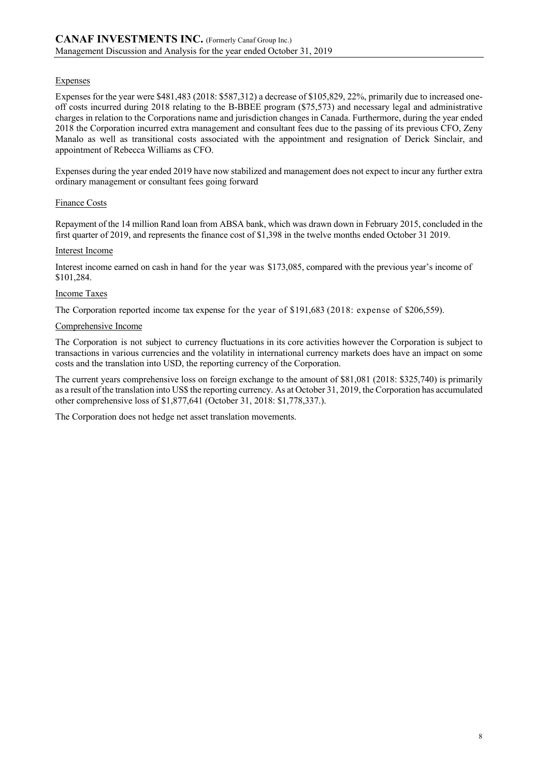### Expenses

Expenses for the year were \$481,483 (2018: \$587,312) a decrease of \$105,829, 22%, primarily due to increased oneoff costs incurred during 2018 relating to the B-BBEE program (\$75,573) and necessary legal and administrative charges in relation to the Corporations name and jurisdiction changes in Canada. Furthermore, during the year ended 2018 the Corporation incurred extra management and consultant fees due to the passing of its previous CFO, Zeny Manalo as well as transitional costs associated with the appointment and resignation of Derick Sinclair, and appointment of Rebecca Williams as CFO.

Expenses during the year ended 2019 have now stabilized and management does not expect to incur any further extra ordinary management or consultant fees going forward

### Finance Costs

Repayment of the 14 million Rand loan from ABSA bank, which was drawn down in February 2015, concluded in the first quarter of 2019, and represents the finance cost of \$1,398 in the twelve months ended October 31 2019.

#### Interest Income

Interest income earned on cash in hand for the year was \$173,085, compared with the previous year's income of \$101,284.

#### Income Taxes

The Corporation reported income tax expense for the year of \$191,683 (2018: expense of \$206,559).

### Comprehensive Income

The Corporation is not subject to currency fluctuations in its core activities however the Corporation is subject to transactions in various currencies and the volatility in international currency markets does have an impact on some costs and the translation into USD, the reporting currency of the Corporation.

The current years comprehensive loss on foreign exchange to the amount of \$81,081 (2018: \$325,740) is primarily as a result of the translation into US\$ the reporting currency. As at October 31, 2019, the Corporation has accumulated other comprehensive loss of \$1,877,641 (October 31, 2018: \$1,778,337.).

The Corporation does not hedge net asset translation movements.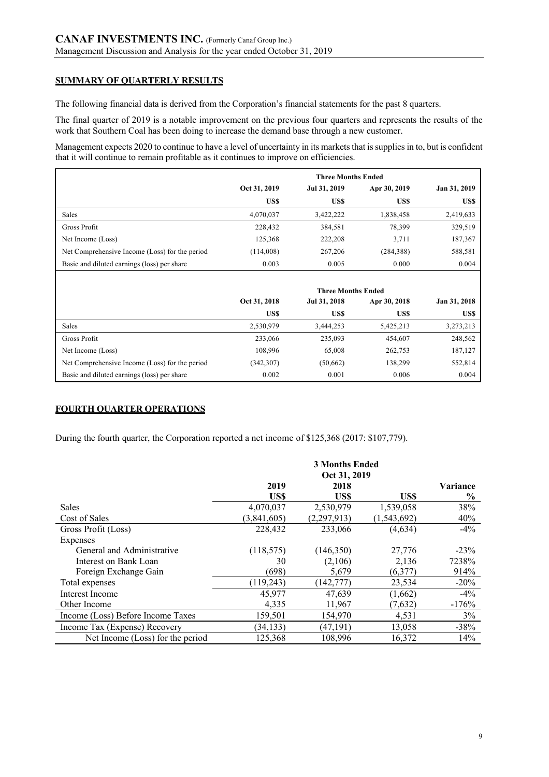## **SUMMARY OF QUARTERLY RESULTS**

The following financial data is derived from the Corporation's financial statements for the past 8 quarters.

The final quarter of 2019 is a notable improvement on the previous four quarters and represents the results of the work that Southern Coal has been doing to increase the demand base through a new customer.

Management expects 2020 to continue to have a level of uncertainty in its markets that is supplies in to, but is confident that it will continue to remain profitable as it continues to improve on efficiencies.

|                                                | <b>Three Months Ended</b> |              |              |              |
|------------------------------------------------|---------------------------|--------------|--------------|--------------|
|                                                | Oct 31, 2019              | Jul 31, 2019 | Apr 30, 2019 | Jan 31, 2019 |
|                                                | US\$                      | US\$         | US\$         | US\$         |
| Sales                                          | 4,070,037                 | 3.422.222    | 1,838,458    | 2,419,633    |
| Gross Profit                                   | 228,432                   | 384,581      | 78.399       | 329,519      |
| Net Income (Loss)                              | 125,368                   | 222,208      | 3.711        | 187,367      |
| Net Comprehensive Income (Loss) for the period | (114,008)                 | 267,206      | (284, 388)   | 588,581      |
| Basic and diluted earnings (loss) per share    | 0.003                     | 0.005        | 0.000        | 0.004        |

|                                                | Oct 31, 2018 | Jul 31, 2018 | Apr 30, 2018 | Jan 31, 2018 |
|------------------------------------------------|--------------|--------------|--------------|--------------|
|                                                | US\$         | US\$         | US\$         | US\$         |
| Sales                                          | 2,530,979    | 3.444.253    | 5.425.213    | 3,273,213    |
| Gross Profit                                   | 233,066      | 235,093      | 454,607      | 248,562      |
| Net Income (Loss)                              | 108,996      | 65,008       | 262,753      | 187,127      |
| Net Comprehensive Income (Loss) for the period | (342, 307)   | (50, 662)    | 138,299      | 552,814      |
| Basic and diluted earnings (loss) per share    | 0.002        | 0.001        | 0.006        | 0.004        |

# **FOURTH QUARTER OPERATIONS**

During the fourth quarter, the Corporation reported a net income of \$125,368 (2017: \$107,779).

|                                   | 2019        | 2018          |               | <b>Variance</b> |
|-----------------------------------|-------------|---------------|---------------|-----------------|
|                                   | US\$        | US\$          | US\$          | $\frac{6}{9}$   |
| <b>Sales</b>                      | 4,070,037   | 2,530,979     | 1,539,058     | 38%             |
| Cost of Sales                     | (3,841,605) | (2, 297, 913) | (1, 543, 692) | 40%             |
| Gross Profit (Loss)               | 228,432     | 233,066       | (4,634)       | $-4\%$          |
| Expenses                          |             |               |               |                 |
| General and Administrative        | (118, 575)  | (146,350)     | 27,776        | $-23%$          |
| Interest on Bank Loan             | 30          | (2,106)       | 2,136         | 7238%           |
| Foreign Exchange Gain             | (698)       | 5,679         | (6,377)       | 914%            |
| Total expenses                    | (119,243)   | (142, 777)    | 23,534        | $-20%$          |
| Interest Income                   | 45,977      | 47,639        | (1,662)       | $-4\%$          |
| Other Income                      | 4,335       | 11,967        | (7,632)       | $-176%$         |
| Income (Loss) Before Income Taxes | 159,501     | 154,970       | 4,531         | 3%              |
| Income Tax (Expense) Recovery     | (34, 133)   | (47,191)      | 13,058        | $-38%$          |
| Net Income (Loss) for the period  | 125,368     | 108,996       | 16,372        | 14%             |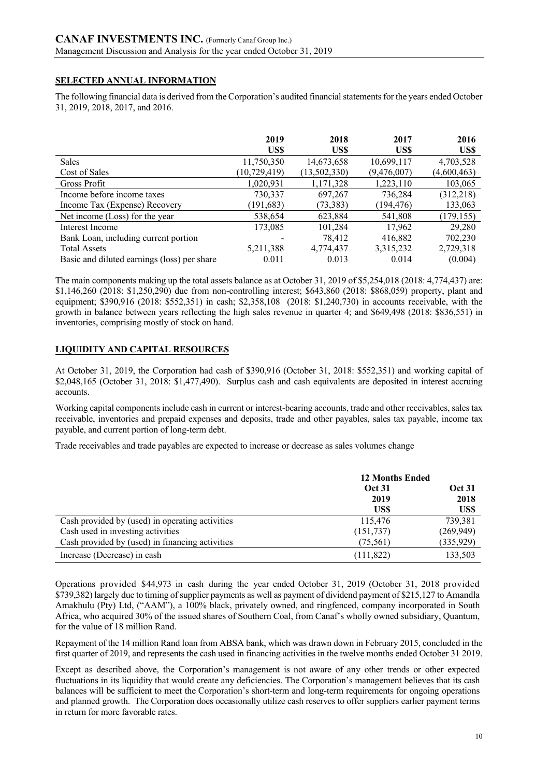# **SELECTED ANNUAL INFORMATION**

The following financial data is derived from the Corporation's audited financial statements for the years ended October 31, 2019, 2018, 2017, and 2016.

|                                             | 2019           | 2018         | 2017        | 2016        |
|---------------------------------------------|----------------|--------------|-------------|-------------|
|                                             | US\$           | US\$         | US\$        | US\$        |
| <b>Sales</b>                                | 11,750,350     | 14,673,658   | 10,699,117  | 4,703,528   |
| Cost of Sales                               | (10, 729, 419) | (13,502,330) | (9,476,007) | (4,600,463) |
| Gross Profit                                | 1,020,931      | 1,171,328    | 1,223,110   | 103,065     |
| Income before income taxes                  | 730,337        | 697,267      | 736,284     | (312, 218)  |
| Income Tax (Expense) Recovery               | (191, 683)     | (73, 383)    | (194, 476)  | 133,063     |
| Net income (Loss) for the year              | 538,654        | 623,884      | 541,808     | (179, 155)  |
| Interest Income                             | 173,085        | 101,284      | 17,962      | 29,280      |
| Bank Loan, including current portion        |                | 78,412       | 416,882     | 702,230     |
| <b>Total Assets</b>                         | 5,211,388      | 4,774,437    | 3,315,232   | 2,729,318   |
| Basic and diluted earnings (loss) per share | 0.011          | 0.013        | 0.014       | (0.004)     |

The main components making up the total assets balance as at October 31, 2019 of \$5,254,018 (2018: 4,774,437) are: \$1,146,260 (2018: \$1,250,290) due from non-controlling interest; \$643,860 (2018: \$868,059) property, plant and equipment; \$390,916 (2018: \$552,351) in cash; \$2,358,108 (2018: \$1,240,730) in accounts receivable, with the growth in balance between years reflecting the high sales revenue in quarter 4; and \$649,498 (2018: \$836,551) in inventories, comprising mostly of stock on hand.

# **LIQUIDITY AND CAPITAL RESOURCES**

At October 31, 2019, the Corporation had cash of \$390,916 (October 31, 2018: \$552,351) and working capital of \$2,048,165 (October 31, 2018: \$1,477,490). Surplus cash and cash equivalents are deposited in interest accruing accounts.

Working capital components include cash in current or interest-bearing accounts, trade and other receivables, sales tax receivable, inventories and prepaid expenses and deposits, trade and other payables, sales tax payable, income tax payable, and current portion of long-term debt.

Trade receivables and trade payables are expected to increase or decrease as sales volumes change

|                                                 | <b>12 Months Ended</b> |                       |  |
|-------------------------------------------------|------------------------|-----------------------|--|
|                                                 | <b>Oct 31</b><br>2019  | <b>Oct 31</b><br>2018 |  |
|                                                 | US\$                   | US\$                  |  |
| Cash provided by (used) in operating activities | 115,476                | 739.381               |  |
| Cash used in investing activities               | (151, 737)             | (269, 949)            |  |
| Cash provided by (used) in financing activities | (75, 561)              | (335, 929)            |  |
| Increase (Decrease) in cash                     | (111, 822)             | 133,503               |  |

Operations provided \$44,973 in cash during the year ended October 31, 2019 (October 31, 2018 provided \$739,382) largely due to timing of supplier payments as well as payment of dividend payment of \$215,127 to Amandla Amakhulu (Pty) Ltd, ("AAM"), a 100% black, privately owned, and ringfenced, company incorporated in South Africa, who acquired 30% of the issued shares of Southern Coal, from Canaf's wholly owned subsidiary, Quantum, for the value of 18 million Rand.

Repayment of the 14 million Rand loan from ABSA bank, which was drawn down in February 2015, concluded in the first quarter of 2019, and represents the cash used in financing activities in the twelve months ended October 31 2019.

Except as described above, the Corporation's management is not aware of any other trends or other expected fluctuations in its liquidity that would create any deficiencies. The Corporation's management believes that its cash balances will be sufficient to meet the Corporation's short-term and long-term requirements for ongoing operations and planned growth. The Corporation does occasionally utilize cash reserves to offer suppliers earlier payment terms in return for more favorable rates.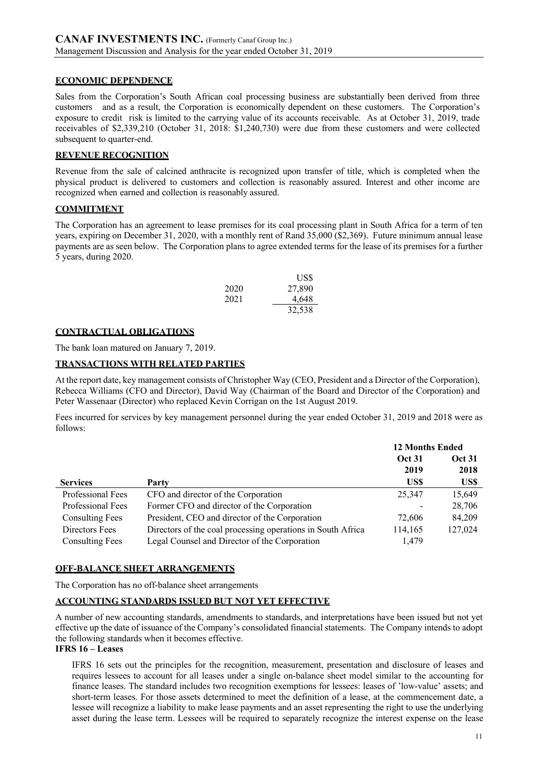## **ECONOMIC DEPENDENCE**

Sales from the Corporation's South African coal processing business are substantially been derived from three customers and as a result, the Corporation is economically dependent on these customers. The Corporation's exposure to credit risk is limited to the carrying value of its accounts receivable. As at October 31, 2019, trade receivables of \$2,339,210 (October 31, 2018: \$1,240,730) were due from these customers and were collected subsequent to quarter-end.

#### **REVENUE RECOGNITION**

Revenue from the sale of calcined anthracite is recognized upon transfer of title, which is completed when the physical product is delivered to customers and collection is reasonably assured. Interest and other income are recognized when earned and collection is reasonably assured.

### **COMMITMENT**

The Corporation has an agreement to lease premises for its coal processing plant in South Africa for a term of ten years, expiring on December 31, 2020, with a monthly rent of Rand 35,000 (\$2,369). Future minimum annual lease payments are as seen below. The Corporation plans to agree extended terms for the lease of its premises for a further 5 years, during 2020.

|      | US\$   |
|------|--------|
| 2020 | 27,890 |
| 2021 | 4,648  |
|      | 32,538 |

### **CONTRACTUAL OBLIGATIONS**

The bank loan matured on January 7, 2019.

### **TRANSACTIONS WITH RELATED PARTIES**

At the report date, key management consists of Christopher Way (CEO, President and a Director of the Corporation), Rebecca Williams (CFO and Director), David Way (Chairman of the Board and Director of the Corporation) and Peter Wassenaar (Director) who replaced Kevin Corrigan on the 1st August 2019.

Fees incurred for services by key management personnel during the year ended October 31, 2019 and 2018 were as follows:

|                        |                                                             | <b>12 Months Ended</b> |               |
|------------------------|-------------------------------------------------------------|------------------------|---------------|
|                        |                                                             | <b>Oct 31</b>          | <b>Oct 31</b> |
|                        |                                                             | 2019                   | 2018          |
| <b>Services</b>        | Party                                                       | US\$                   | US\$          |
| Professional Fees      | CFO and director of the Corporation                         | 25,347                 | 15,649        |
| Professional Fees      | Former CFO and director of the Corporation                  |                        | 28,706        |
| <b>Consulting Fees</b> | President, CEO and director of the Corporation              | 72,606                 | 84,209        |
| Directors Fees         | Directors of the coal processing operations in South Africa | 114,165                | 127,024       |
| <b>Consulting Fees</b> | Legal Counsel and Director of the Corporation               | 1.479                  |               |

#### **OFF-BALANCE SHEET ARRANGEMENTS**

The Corporation has no off-balance sheet arrangements

## **ACCOUNTING STANDARDS ISSUED BUT NOT YET EFFECTIVE**

A number of new accounting standards, amendments to standards, and interpretations have been issued but not yet effective up the date of issuance of the Company's consolidated financial statements. The Company intends to adopt the following standards when it becomes effective.

### **IFRS 16 – Leases**

IFRS 16 sets out the principles for the recognition, measurement, presentation and disclosure of leases and requires lessees to account for all leases under a single on-balance sheet model similar to the accounting for finance leases. The standard includes two recognition exemptions for lessees: leases of 'low-value' assets; and short-term leases. For those assets determined to meet the definition of a lease, at the commencement date, a lessee will recognize a liability to make lease payments and an asset representing the right to use the underlying asset during the lease term. Lessees will be required to separately recognize the interest expense on the lease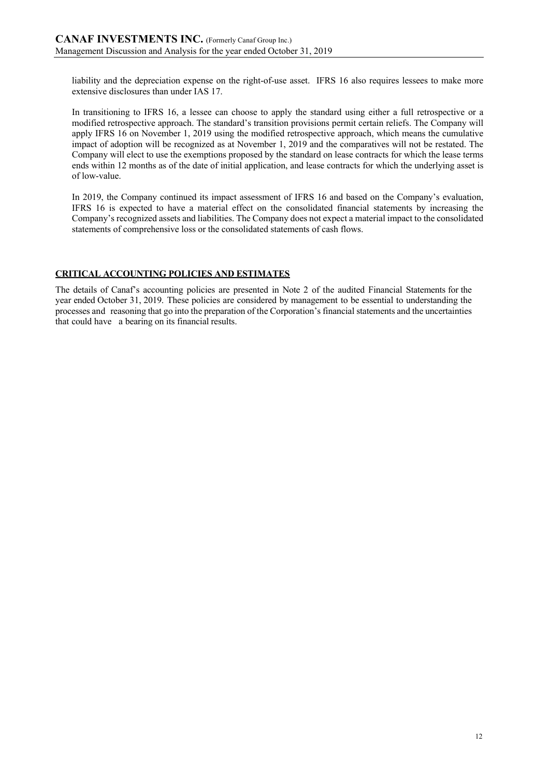liability and the depreciation expense on the right-of-use asset. IFRS 16 also requires lessees to make more extensive disclosures than under IAS 17.

In transitioning to IFRS 16, a lessee can choose to apply the standard using either a full retrospective or a modified retrospective approach. The standard's transition provisions permit certain reliefs. The Company will apply IFRS 16 on November 1, 2019 using the modified retrospective approach, which means the cumulative impact of adoption will be recognized as at November 1, 2019 and the comparatives will not be restated. The Company will elect to use the exemptions proposed by the standard on lease contracts for which the lease terms ends within 12 months as of the date of initial application, and lease contracts for which the underlying asset is of low-value.

In 2019, the Company continued its impact assessment of IFRS 16 and based on the Company's evaluation, IFRS 16 is expected to have a material effect on the consolidated financial statements by increasing the Company's recognized assets and liabilities. The Company does not expect a material impact to the consolidated statements of comprehensive loss or the consolidated statements of cash flows.

## **CRITICAL ACCOUNTING POLICIES AND ESTIMATES**

The details of Canaf's accounting policies are presented in Note 2 of the audited Financial Statements for the year ended October 31, 2019. These policies are considered by management to be essential to understanding the processes and reasoning that go into the preparation of the Corporation's financial statements and the uncertainties that could have a bearing on its financial results.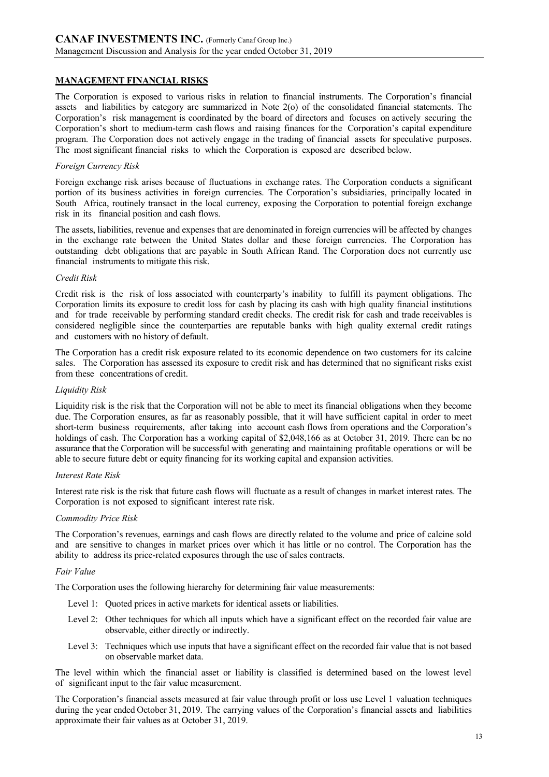## **MANAGEMENT FINANCIAL RISKS**

The Corporation is exposed to various risks in relation to financial instruments. The Corporation's financial assets and liabilities by category are summarized in Note 2(o) of the consolidated financial statements. The Corporation's risk management is coordinated by the board of directors and focuses on actively securing the Corporation's short to medium-term cash flows and raising finances for the Corporation's capital expenditure program. The Corporation does not actively engage in the trading of financial assets for speculative purposes. The most significant financial risks to which the Corporation is exposed are described below.

### *Foreign Currency Risk*

Foreign exchange risk arises because of fluctuations in exchange rates. The Corporation conducts a significant portion of its business activities in foreign currencies. The Corporation's subsidiaries, principally located in South Africa, routinely transact in the local currency, exposing the Corporation to potential foreign exchange risk in its financial position and cash flows.

The assets, liabilities, revenue and expenses that are denominated in foreign currencies will be affected by changes in the exchange rate between the United States dollar and these foreign currencies. The Corporation has outstanding debt obligations that are payable in South African Rand. The Corporation does not currently use financial instruments to mitigate this risk.

## *Credit Risk*

Credit risk is the risk of loss associated with counterparty's inability to fulfill its payment obligations. The Corporation limits its exposure to credit loss for cash by placing its cash with high quality financial institutions and for trade receivable by performing standard credit checks. The credit risk for cash and trade receivables is considered negligible since the counterparties are reputable banks with high quality external credit ratings and customers with no history of default.

The Corporation has a credit risk exposure related to its economic dependence on two customers for its calcine sales. The Corporation has assessed its exposure to credit risk and has determined that no significant risks exist from these concentrations of credit.

### *Liquidity Risk*

Liquidity risk is the risk that the Corporation will not be able to meet its financial obligations when they become due. The Corporation ensures, as far as reasonably possible, that it will have sufficient capital in order to meet short-term business requirements, after taking into account cash flows from operations and the Corporation's holdings of cash. The Corporation has a working capital of \$2,048,166 as at October 31, 2019. There can be no assurance that the Corporation will be successful with generating and maintaining profitable operations or will be able to secure future debt or equity financing for its working capital and expansion activities.

#### *Interest Rate Risk*

Interest rate risk is the risk that future cash flows will fluctuate as a result of changes in market interest rates. The Corporation is not exposed to significant interest rate risk.

#### *Commodity Price Risk*

The Corporation's revenues, earnings and cash flows are directly related to the volume and price of calcine sold and are sensitive to changes in market prices over which it has little or no control. The Corporation has the ability to address its price-related exposures through the use of sales contracts.

## *Fair Value*

The Corporation uses the following hierarchy for determining fair value measurements:

- Level 1: Quoted prices in active markets for identical assets or liabilities.
- Level 2: Other techniques for which all inputs which have a significant effect on the recorded fair value are observable, either directly or indirectly.
- Level 3: Techniques which use inputs that have a significant effect on the recorded fair value that is not based on observable market data.

The level within which the financial asset or liability is classified is determined based on the lowest level of significant input to the fair value measurement.

The Corporation's financial assets measured at fair value through profit or loss use Level 1 valuation techniques during the year ended October 31, 2019. The carrying values of the Corporation's financial assets and liabilities approximate their fair values as at October 31, 2019.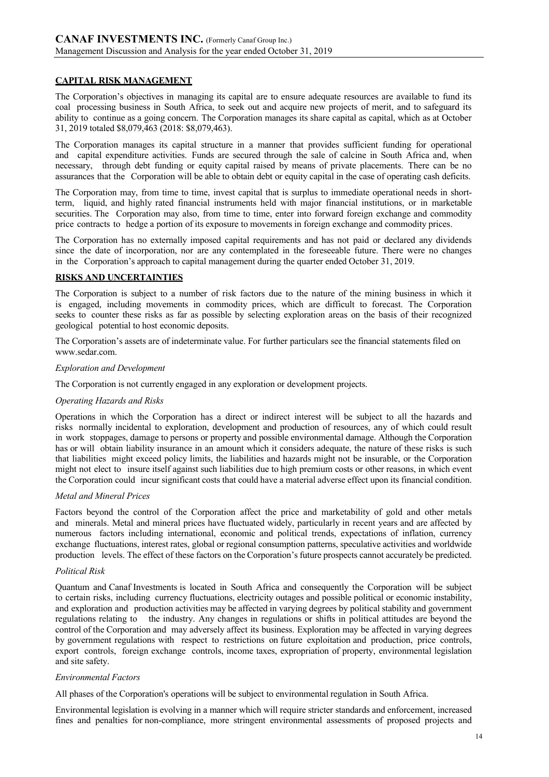## **CAPITAL RISK MANAGEMENT**

The Corporation's objectives in managing its capital are to ensure adequate resources are available to fund its coal processing business in South Africa, to seek out and acquire new projects of merit, and to safeguard its ability to continue as a going concern. The Corporation manages its share capital as capital, which as at October 31, 2019 totaled \$8,079,463 (2018: \$8,079,463).

The Corporation manages its capital structure in a manner that provides sufficient funding for operational and capital expenditure activities. Funds are secured through the sale of calcine in South Africa and, when necessary, through debt funding or equity capital raised by means of private placements. There can be no assurances that the Corporation will be able to obtain debt or equity capital in the case of operating cash deficits.

The Corporation may, from time to time, invest capital that is surplus to immediate operational needs in shortterm, liquid, and highly rated financial instruments held with major financial institutions, or in marketable securities. The Corporation may also, from time to time, enter into forward foreign exchange and commodity price contracts to hedge a portion of its exposure to movements in foreign exchange and commodity prices.

The Corporation has no externally imposed capital requirements and has not paid or declared any dividends since the date of incorporation, nor are any contemplated in the foreseeable future. There were no changes in the Corporation's approach to capital management during the quarter ended October 31, 2019.

## **RISKS AND UNCERTAINTIES**

The Corporation is subject to a number of risk factors due to the nature of the mining business in which it is engaged, including movements in commodity prices, which are difficult to forecast. The Corporation seeks to counter these risks as far as possible by selecting exploration areas on the basis of their recognized geological potential to host economic deposits.

The Corporation's assets are of indeterminate value. For further particulars see the financial statements filed on www.sedar.com.

#### *Exploration and Development*

The Corporation is not currently engaged in any exploration or development projects.

#### *Operating Hazards and Risks*

Operations in which the Corporation has a direct or indirect interest will be subject to all the hazards and risks normally incidental to exploration, development and production of resources, any of which could result in work stoppages, damage to persons or property and possible environmental damage. Although the Corporation has or will obtain liability insurance in an amount which it considers adequate, the nature of these risks is such that liabilities might exceed policy limits, the liabilities and hazards might not be insurable, or the Corporation might not elect to insure itself against such liabilities due to high premium costs or other reasons, in which event the Corporation could incur significant costs that could have a material adverse effect upon its financial condition.

#### *Metal and Mineral Prices*

Factors beyond the control of the Corporation affect the price and marketability of gold and other metals and minerals. Metal and mineral prices have fluctuated widely, particularly in recent years and are affected by numerous factors including international, economic and political trends, expectations of inflation, currency exchange fluctuations, interest rates, global or regional consumption patterns, speculative activities and worldwide production levels. The effect of these factors on the Corporation'sfuture prospects cannot accurately be predicted.

## *Political Risk*

Quantum and Canaf Investments is located in South Africa and consequently the Corporation will be subject to certain risks, including currency fluctuations, electricity outages and possible political or economic instability, and exploration and production activities may be affected in varying degrees by political stability and government regulations relating to the industry. Any changes in regulations or shifts in political attitudes are beyond the control of the Corporation and may adversely affect its business. Exploration may be affected in varying degrees by government regulations with respect to restrictions on future exploitation and production, price controls, export controls, foreign exchange controls, income taxes, expropriation of property, environmental legislation and site safety.

#### *Environmental Factors*

All phases of the Corporation's operations will be subject to environmental regulation in South Africa.

Environmental legislation is evolving in a manner which will require stricter standards and enforcement, increased fines and penalties for non-compliance, more stringent environmental assessments of proposed projects and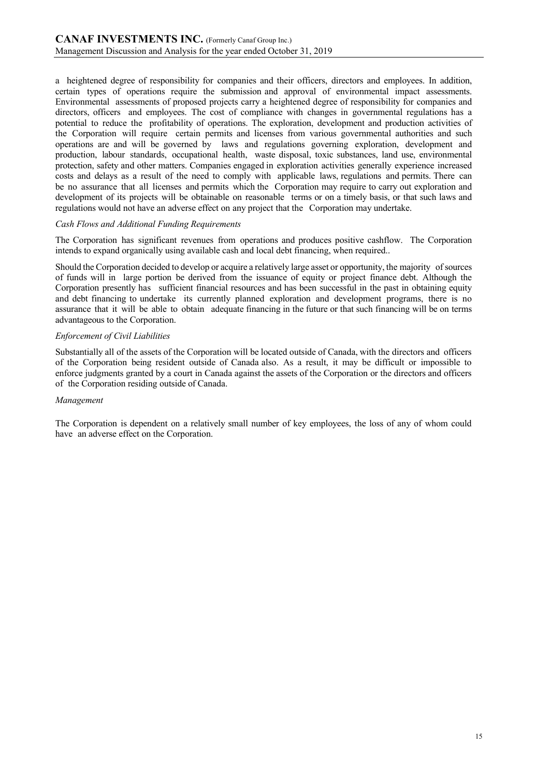a heightened degree of responsibility for companies and their officers, directors and employees. In addition, certain types of operations require the submission and approval of environmental impact assessments. Environmental assessments of proposed projects carry a heightened degree of responsibility for companies and directors, officers and employees. The cost of compliance with changes in governmental regulations has a potential to reduce the profitability of operations. The exploration, development and production activities of the Corporation will require certain permits and licenses from various governmental authorities and such operations are and will be governed by laws and regulations governing exploration, development and production, labour standards, occupational health, waste disposal, toxic substances, land use, environmental protection, safety and other matters. Companies engaged in exploration activities generally experience increased costs and delays as a result of the need to comply with applicable laws, regulations and permits. There can be no assurance that all licenses and permits which the Corporation may require to carry out exploration and development of its projects will be obtainable on reasonable terms or on a timely basis, or that such laws and regulations would not have an adverse effect on any project that the Corporation may undertake.

#### *Cash Flows and Additional Funding Requirements*

The Corporation has significant revenues from operations and produces positive cashflow. The Corporation intends to expand organically using available cash and local debt financing, when required..

Should the Corporation decided to develop or acquire a relatively large asset or opportunity, the majority ofsources of funds will in large portion be derived from the issuance of equity or project finance debt. Although the Corporation presently has sufficient financial resources and has been successful in the past in obtaining equity and debt financing to undertake its currently planned exploration and development programs, there is no assurance that it will be able to obtain adequate financing in the future or that such financing will be on terms advantageous to the Corporation.

#### *Enforcement of Civil Liabilities*

Substantially all of the assets of the Corporation will be located outside of Canada, with the directors and officers of the Corporation being resident outside of Canada also. As a result, it may be difficult or impossible to enforce judgments granted by a court in Canada against the assets of the Corporation or the directors and officers of the Corporation residing outside of Canada.

#### *Management*

The Corporation is dependent on a relatively small number of key employees, the loss of any of whom could have an adverse effect on the Corporation.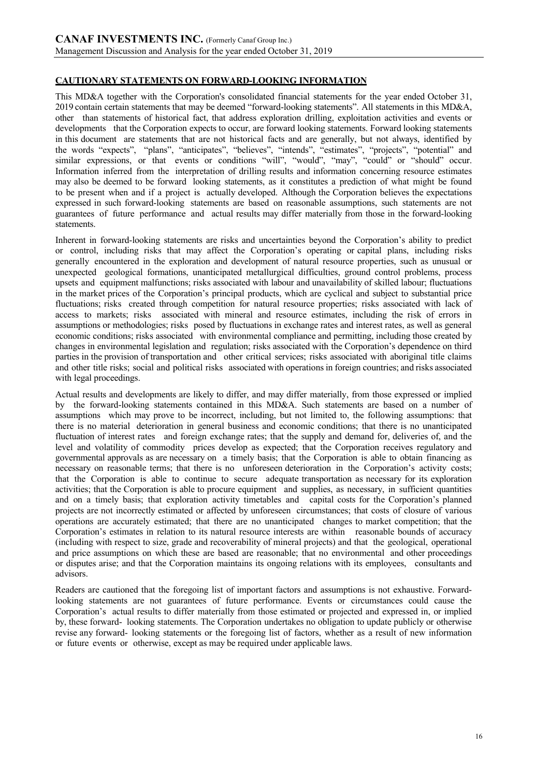# **CAUTIONARY STATEMENTS ON FORWARD-LOOKING INFORMATION**

This MD&A together with the Corporation's consolidated financial statements for the year ended October 31, 2019 contain certain statements that may be deemed "forward-looking statements". All statements in this MD&A, other than statements of historical fact, that address exploration drilling, exploitation activities and events or developments that the Corporation expects to occur, are forward looking statements. Forward looking statements in this document are statements that are not historical facts and are generally, but not always, identified by the words "expects", "plans", "anticipates", "believes", "intends", "estimates", "projects", "potential" and similar expressions, or that events or conditions "will", "would", "may", "could" or "should" occur. Information inferred from the interpretation of drilling results and information concerning resource estimates may also be deemed to be forward looking statements, as it constitutes a prediction of what might be found to be present when and if a project is actually developed. Although the Corporation believes the expectations expressed in such forward-looking statements are based on reasonable assumptions, such statements are not guarantees of future performance and actual results may differ materially from those in the forward-looking statements.

Inherent in forward-looking statements are risks and uncertainties beyond the Corporation's ability to predict or control, including risks that may affect the Corporation's operating or capital plans, including risks generally encountered in the exploration and development of natural resource properties, such as unusual or unexpected geological formations, unanticipated metallurgical difficulties, ground control problems, process upsets and equipment malfunctions; risks associated with labour and unavailability of skilled labour; fluctuations in the market prices of the Corporation's principal products, which are cyclical and subject to substantial price fluctuations; risks created through competition for natural resource properties; risks associated with lack of access to markets; risks associated with mineral and resource estimates, including the risk of errors in assumptions or methodologies; risks posed by fluctuations in exchange rates and interest rates, as well as general economic conditions; risks associated with environmental compliance and permitting, including those created by changes in environmental legislation and regulation; risks associated with the Corporation's dependence on third parties in the provision of transportation and other critical services; risks associated with aboriginal title claims and other title risks; social and political risks associated with operations in foreign countries; and risks associated with legal proceedings.

Actual results and developments are likely to differ, and may differ materially, from those expressed or implied by the forward-looking statements contained in this MD&A. Such statements are based on a number of assumptions which may prove to be incorrect, including, but not limited to, the following assumptions: that there is no material deterioration in general business and economic conditions; that there is no unanticipated fluctuation of interest rates and foreign exchange rates; that the supply and demand for, deliveries of, and the level and volatility of commodity prices develop as expected; that the Corporation receives regulatory and governmental approvals as are necessary on a timely basis; that the Corporation is able to obtain financing as necessary on reasonable terms; that there is no unforeseen deterioration in the Corporation's activity costs; that the Corporation is able to continue to secure adequate transportation as necessary for its exploration activities; that the Corporation is able to procure equipment and supplies, as necessary, in sufficient quantities and on a timely basis; that exploration activity timetables and capital costs for the Corporation's planned projects are not incorrectly estimated or affected by unforeseen circumstances; that costs of closure of various operations are accurately estimated; that there are no unanticipated changes to market competition; that the Corporation's estimates in relation to its natural resource interests are within reasonable bounds of accuracy (including with respect to size, grade and recoverability of mineral projects) and that the geological, operational and price assumptions on which these are based are reasonable; that no environmental and other proceedings or disputes arise; and that the Corporation maintains its ongoing relations with its employees, consultants and advisors.

Readers are cautioned that the foregoing list of important factors and assumptions is not exhaustive. Forwardlooking statements are not guarantees of future performance. Events or circumstances could cause the Corporation's actual results to differ materially from those estimated or projected and expressed in, or implied by, these forward- looking statements. The Corporation undertakes no obligation to update publicly or otherwise revise any forward- looking statements or the foregoing list of factors, whether as a result of new information or future events or otherwise, except as may be required under applicable laws.